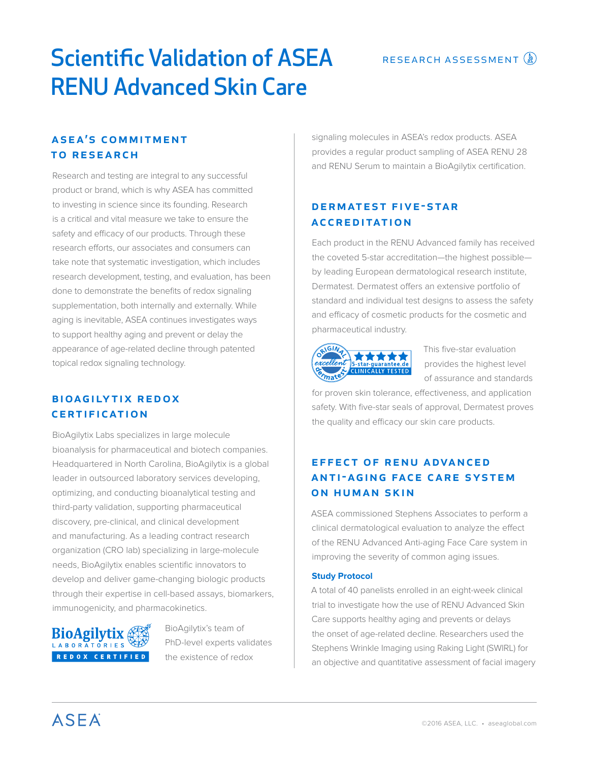# RESEARCH ASSESSMENT (2)

# Scientific Validation of ASEA RENU Advanced Skin Care

# **ASEA'S COMMITMENT** to research

Research and testing are integral to any successful product or brand, which is why ASEA has committed to investing in science since its founding. Research is a critical and vital measure we take to ensure the safety and efficacy of our products. Through these research efforts, our associates and consumers can take note that systematic investigation, which includes research development, testing, and evaluation, has been done to demonstrate the benefits of redox signaling supplementation, both internally and externally. While aging is inevitable, ASEA continues investigates ways to support healthy aging and prevent or delay the appearance of age-related decline through patented topical redox signaling technology.

# **BIOAGILYTIX REDOX CERTIFICATION**

BioAgilytix Labs specializes in large molecule bioanalysis for pharmaceutical and biotech companies. Headquartered in North Carolina, BioAgilytix is a global leader in outsourced laboratory services developing, optimizing, and conducting bioanalytical testing and third-party validation, supporting pharmaceutical discovery, pre-clinical, and clinical development and manufacturing. As a leading contract research organization (CRO lab) specializing in large-molecule needs, BioAgilytix enables scientific innovators to develop and deliver game-changing biologic products through their expertise in cell-based assays, biomarkers, immunogenicity, and pharmacokinetics.



BioAgilytix's team of PhD-level experts validates the existence of redox

signaling molecules in ASEA's redox products. ASEA provides a regular product sampling of ASEA RENU 28 and RENU Serum to maintain a BioAgilytix certification.

# DERMATEST FIVE-STAR **ACCREDITATION**

Each product in the RENU Advanced family has received the coveted 5-star accreditation—the highest possible by leading European dermatological research institute, Dermatest. Dermatest offers an extensive portfolio of standard and individual test designs to assess the safety and efficacy of cosmetic products for the cosmetic and pharmaceutical industry.



This five-star evaluation provides the highest level of assurance and standards

for proven skin tolerance, effectiveness, and application safety. With five-star seals of approval, Dermatest proves the quality and efficacy our skin care products.

# EFFECT OF RENU ADVANCED **ANTI-AGING FACE CARE SYSTEM** on human skin

ASEA commissioned Stephens Associates to perform a clinical dermatological evaluation to analyze the effect of the RENU Advanced Anti-aging Face Care system in improving the severity of common aging issues.

# **Study Protocol**

A total of 40 panelists enrolled in an eight-week clinical trial to investigate how the use of RENU Advanced Skin Care supports healthy aging and prevents or delays the onset of age-related decline. Researchers used the Stephens Wrinkle Imaging using Raking Light (SWIRL) for an objective and quantitative assessment of facial imagery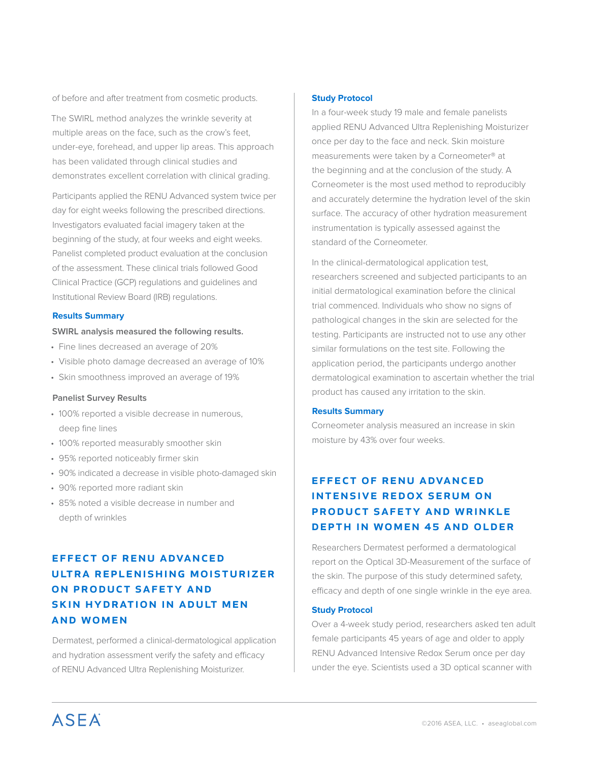of before and after treatment from cosmetic products.

The SWIRL method analyzes the wrinkle severity at multiple areas on the face, such as the crow's feet, under-eye, forehead, and upper lip areas. This approach has been validated through clinical studies and demonstrates excellent correlation with clinical grading.

Participants applied the RENU Advanced system twice per day for eight weeks following the prescribed directions. Investigators evaluated facial imagery taken at the beginning of the study, at four weeks and eight weeks. Panelist completed product evaluation at the conclusion of the assessment. These clinical trials followed Good Clinical Practice (GCP) regulations and guidelines and Institutional Review Board (IRB) regulations.

### **Results Summary**

### **SWIRL analysis measured the following results.**

- Fine lines decreased an average of 20%
- Visible photo damage decreased an average of 10%
- Skin smoothness improved an average of 19%

### **Panelist Survey Results**

- 100% reported a visible decrease in numerous, deep fine lines
- 100% reported measurably smoother skin
- 95% reported noticeably firmer skin
- 90% indicated a decrease in visible photo-damaged skin
- 90% reported more radiant skin
- 85% noted a visible decrease in number and depth of wrinkles

# effect of renu advanced ultra replenishing moisturizer on product safety and skin hydration in adult men and women

Dermatest, performed a clinical-dermatological application and hydration assessment verify the safety and efficacy of RENU Advanced Ultra Replenishing Moisturizer.

#### **Study Protocol**

In a four-week study 19 male and female panelists applied RENU Advanced Ultra Replenishing Moisturizer once per day to the face and neck. Skin moisture measurements were taken by a Corneometer® at the beginning and at the conclusion of the study. A Corneometer is the most used method to reproducibly and accurately determine the hydration level of the skin surface. The accuracy of other hydration measurement instrumentation is typically assessed against the standard of the Corneometer.

In the clinical-dermatological application test, researchers screened and subjected participants to an initial dermatological examination before the clinical trial commenced. Individuals who show no signs of pathological changes in the skin are selected for the testing. Participants are instructed not to use any other similar formulations on the test site. Following the application period, the participants undergo another dermatological examination to ascertain whether the trial product has caused any irritation to the skin.

### **Results Summary**

Corneometer analysis measured an increase in skin moisture by 43% over four weeks.

# effect of renu advanced intensive redox serum on product safety and wrinkle depth in women 45 and older

Researchers Dermatest performed a dermatological report on the Optical 3D-Measurement of the surface of the skin. The purpose of this study determined safety, efficacy and depth of one single wrinkle in the eye area.

#### **Study Protocol**

Over a 4-week study period, researchers asked ten adult female participants 45 years of age and older to apply RENU Advanced Intensive Redox Serum once per day under the eye. Scientists used a 3D optical scanner with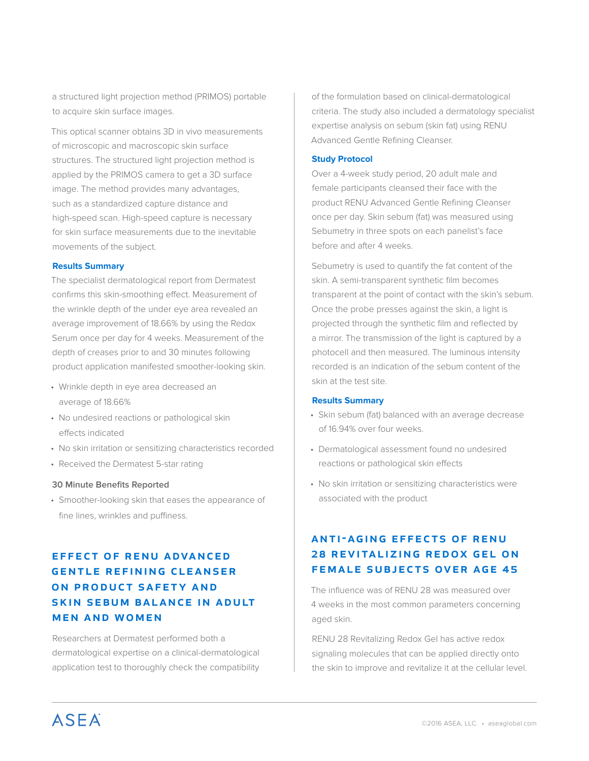a structured light projection method (PRIMOS) portable to acquire skin surface images.

This optical scanner obtains 3D in vivo measurements of microscopic and macroscopic skin surface structures. The structured light projection method is applied by the PRIMOS camera to get a 3D surface image. The method provides many advantages, such as a standardized capture distance and high-speed scan. High-speed capture is necessary for skin surface measurements due to the inevitable movements of the subject.

### **Results Summary**

The specialist dermatological report from Dermatest confirms this skin-smoothing effect. Measurement of the wrinkle depth of the under eye area revealed an average improvement of 18.66% by using the Redox Serum once per day for 4 weeks. Measurement of the depth of creases prior to and 30 minutes following product application manifested smoother-looking skin.

- Wrinkle depth in eye area decreased an average of 18.66%
- No undesired reactions or pathological skin effects indicated
- No skin irritation or sensitizing characteristics recorded
- Received the Dermatest 5-star rating

#### **30 Minute Benefits Reported**

• Smoother-looking skin that eases the appearance of fine lines, wrinkles and puffiness.

# **EFFECT OF RENU ADVANCED GENTLE REFINING CLEANSER** ON PRODUCT SAFETY AND SKIN SEBUM BALANCE IN ADULT men and women

Researchers at Dermatest performed both a dermatological expertise on a clinical-dermatological application test to thoroughly check the compatibility

of the formulation based on clinical-dermatological criteria. The study also included a dermatology specialist expertise analysis on sebum (skin fat) using RENU Advanced Gentle Refining Cleanser.

#### **Study Protocol**

Over a 4-week study period, 20 adult male and female participants cleansed their face with the product RENU Advanced Gentle Refining Cleanser once per day. Skin sebum (fat) was measured using Sebumetry in three spots on each panelist's face before and after 4 weeks.

Sebumetry is used to quantify the fat content of the skin. A semi-transparent synthetic film becomes transparent at the point of contact with the skin's sebum. Once the probe presses against the skin, a light is projected through the synthetic film and reflected by a mirror. The transmission of the light is captured by a photocell and then measured. The luminous intensity recorded is an indication of the sebum content of the skin at the test site.

#### **Results Summary**

- Skin sebum (fat) balanced with an average decrease of 16.94% over four weeks.
- Dermatological assessment found no undesired reactions or pathological skin effects
- No skin irritation or sensitizing characteristics were associated with the product

# **ANTI-AGING EFFECTS OF RENU** 28 REVITALIZING REDOX GEL ON female subjects over age 45

The influence was of RENU 28 was measured over 4 weeks in the most common parameters concerning aged skin.

RENU 28 Revitalizing Redox Gel has active redox signaling molecules that can be applied directly onto the skin to improve and revitalize it at the cellular level.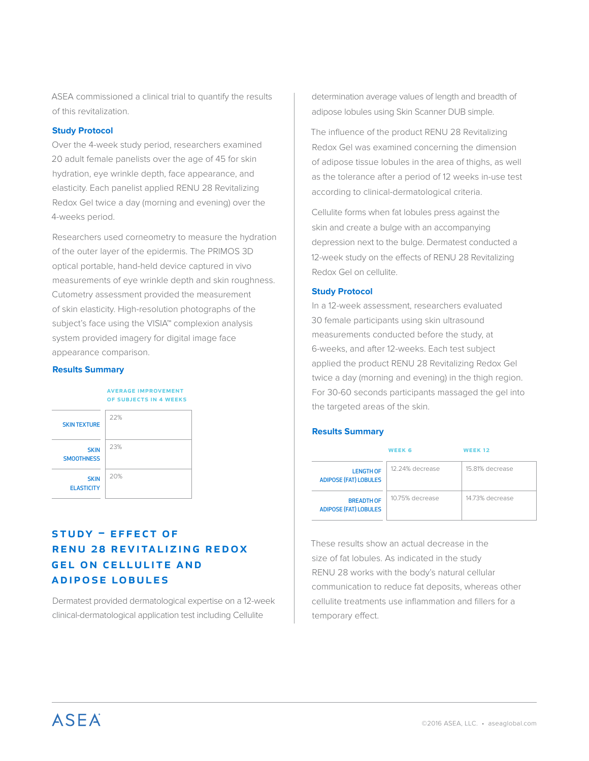ASEA commissioned a clinical trial to quantify the results of this revitalization.

### **Study Protocol**

Over the 4-week study period, researchers examined 20 adult female panelists over the age of 45 for skin hydration, eye wrinkle depth, face appearance, and elasticity. Each panelist applied RENU 28 Revitalizing Redox Gel twice a day (morning and evening) over the 4-weeks period.

Researchers used corneometry to measure the hydration of the outer layer of the epidermis. The PRIMOS 3D optical portable, hand-held device captured in vivo measurements of eye wrinkle depth and skin roughness. Cutometry assessment provided the measurement of skin elasticity. High-resolution photographs of the subject's face using the VISIA™ complexion analysis system provided imagery for digital image face appearance comparison.

#### **Results Summary**

### average improvement of subjects in 4 weeks



# $STUDY = EFECT OF$ RENU 28 REVITALIZING REDOX **GEL ON CELLULITE AND** adipose lobules

Dermatest provided dermatological expertise on a 12-week clinical-dermatological application test including Cellulite

determination average values of length and breadth of adipose lobules using Skin Scanner DUB simple.

The influence of the product RENU 28 Revitalizing Redox Gel was examined concerning the dimension of adipose tissue lobules in the area of thighs, as well as the tolerance after a period of 12 weeks in-use test according to clinical-dermatological criteria.

Cellulite forms when fat lobules press against the skin and create a bulge with an accompanying depression next to the bulge. Dermatest conducted a 12-week study on the effects of RENU 28 Revitalizing Redox Gel on cellulite.

### **Study Protocol**

In a 12-week assessment, researchers evaluated 30 female participants using skin ultrasound measurements conducted before the study, at 6-weeks, and after 12-weeks. Each test subject applied the product RENU 28 Revitalizing Redox Gel twice a day (morning and evening) in the thigh region. For 30-60 seconds participants massaged the gel into the targeted areas of the skin.

### **Results Summary**

|                                                   | <b>WEEK 6</b>   | <b>WEEK 12</b>  |
|---------------------------------------------------|-----------------|-----------------|
| <b>LENGTH OF</b><br><b>ADIPOSE (FAT) LOBULES</b>  | 12.24% decrease | 15.81% decrease |
| <b>BREADTH OF</b><br><b>ADIPOSE (FAT) LOBULES</b> | 10.75% decrease | 14.73% decrease |

These results show an actual decrease in the size of fat lobules. As indicated in the study RENU 28 works with the body's natural cellular communication to reduce fat deposits, whereas other cellulite treatments use inflammation and fillers for a temporary effect.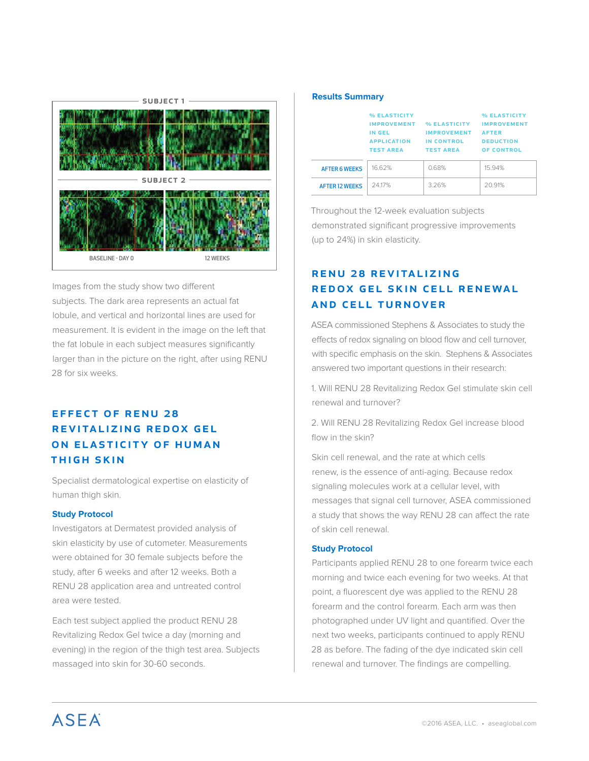

Images from the study show two different subjects. The dark area represents an actual fat lobule, and vertical and horizontal lines are used for measurement. It is evident in the image on the left that the fat lobule in each subject measures significantly larger than in the picture on the right, after using RENU 28 for six weeks.

# **EFFECT OF RENU 28** REVITALIZING REDOX GEL ON ELASTICITY OF HUMAN thigh skin

Specialist dermatological expertise on elasticity of human thigh skin.

# **Study Protocol**

Investigators at Dermatest provided analysis of skin elasticity by use of cutometer. Measurements were obtained for 30 female subjects before the study, after 6 weeks and after 12 weeks. Both a RENU 28 application area and untreated control area were tested.

Each test subject applied the product RENU 28 Revitalizing Redox Gel twice a day (morning and evening) in the region of the thigh test area. Subjects massaged into skin for 30-60 seconds.

#### **Results Summary**

|                       | % ELASTICITY<br><b>IMPROVEMENT</b><br>IN GEL<br><b>APPLICATION</b><br><b>TEST AREA</b> | % ELASTICITY<br><b>IMPROVEMENT</b><br>IN CONTROL<br><b>TEST AREA</b> | % ELASTICITY<br><b>IMPROVEMENT</b><br><b>AFTER</b><br><b>DEDUCTION</b><br><b>OF CONTROL</b> |
|-----------------------|----------------------------------------------------------------------------------------|----------------------------------------------------------------------|---------------------------------------------------------------------------------------------|
| <b>AFTER 6 WEEKS</b>  | 16.62%                                                                                 | 0.68%                                                                | 15.94%                                                                                      |
| <b>AFTER 12 WEEKS</b> | 24.17%                                                                                 | 3.26%                                                                | 20.91%                                                                                      |

Throughout the 12-week evaluation subjects demonstrated significant progressive improvements (up to 24%) in skin elasticity.

# RENU 28 REVITALIZING REDOX GEL SKIN CELL RENEWAL AND CELL TURNOVER

ASEA commissioned Stephens & Associates to study the effects of redox signaling on blood flow and cell turnover, with specific emphasis on the skin. Stephens & Associates answered two important questions in their research:

1. Will RENU 28 Revitalizing Redox Gel stimulate skin cell renewal and turnover?

2. Will RENU 28 Revitalizing Redox Gel increase blood flow in the skin?

Skin cell renewal, and the rate at which cells renew, is the essence of anti-aging. Because redox signaling molecules work at a cellular level, with messages that signal cell turnover, ASEA commissioned a study that shows the way RENU 28 can affect the rate of skin cell renewal.

### **Study Protocol**

Participants applied RENU 28 to one forearm twice each morning and twice each evening for two weeks. At that point, a fluorescent dye was applied to the RENU 28 forearm and the control forearm. Each arm was then photographed under UV light and quantified. Over the next two weeks, participants continued to apply RENU 28 as before. The fading of the dye indicated skin cell renewal and turnover. The findings are compelling.